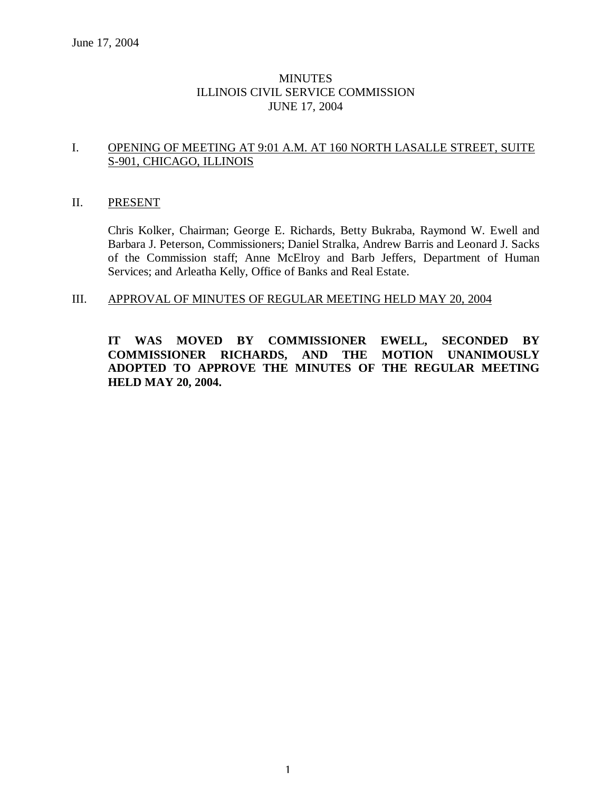# **MINUTES** ILLINOIS CIVIL SERVICE COMMISSION JUNE 17, 2004

# I. OPENING OF MEETING AT 9:01 A.M. AT 160 NORTH LASALLE STREET, SUITE S-901, CHICAGO, ILLINOIS

#### II. PRESENT

Chris Kolker, Chairman; George E. Richards, Betty Bukraba, Raymond W. Ewell and Barbara J. Peterson, Commissioners; Daniel Stralka, Andrew Barris and Leonard J. Sacks of the Commission staff; Anne McElroy and Barb Jeffers, Department of Human Services; and Arleatha Kelly, Office of Banks and Real Estate.

#### III. APPROVAL OF MINUTES OF REGULAR MEETING HELD MAY 20, 2004

**IT WAS MOVED BY COMMISSIONER EWELL, SECONDED BY COMMISSIONER RICHARDS, AND THE MOTION UNANIMOUSLY ADOPTED TO APPROVE THE MINUTES OF THE REGULAR MEETING HELD MAY 20, 2004.**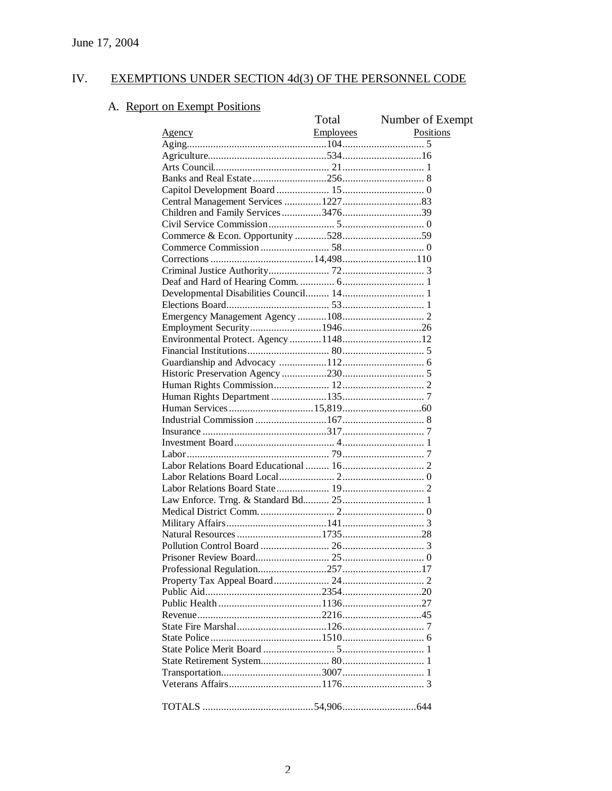#### EXEMPTIONS UNDER SECTION 4d(3) OF THE PERSONNEL CODE IV.

# A. Report on Exempt Positions

| $\overline{u}$ Lavellipt | Total | Number of Exempt |
|--------------------------|-------|------------------|
|                          |       | Positions        |
|                          |       |                  |
|                          |       |                  |
|                          |       |                  |
|                          |       |                  |
|                          |       |                  |
|                          |       |                  |
|                          |       |                  |
|                          |       |                  |
|                          |       |                  |
|                          |       |                  |
|                          |       |                  |
|                          |       |                  |
|                          |       |                  |
|                          |       |                  |
|                          |       |                  |
|                          |       |                  |
|                          |       |                  |
|                          |       |                  |
|                          |       |                  |
|                          |       |                  |
|                          |       |                  |
|                          |       |                  |
|                          |       |                  |
|                          |       |                  |
|                          |       |                  |
|                          |       |                  |
|                          |       |                  |
|                          |       |                  |
|                          |       |                  |
|                          |       |                  |
|                          |       |                  |
|                          |       |                  |
|                          |       |                  |
|                          |       |                  |
|                          |       |                  |
|                          |       |                  |
|                          |       |                  |
|                          |       |                  |
|                          |       |                  |
|                          |       |                  |
|                          |       |                  |
|                          |       |                  |
|                          |       |                  |
|                          |       |                  |
|                          |       |                  |
|                          |       |                  |
|                          |       |                  |
|                          |       |                  |
|                          |       |                  |
|                          |       |                  |
|                          |       |                  |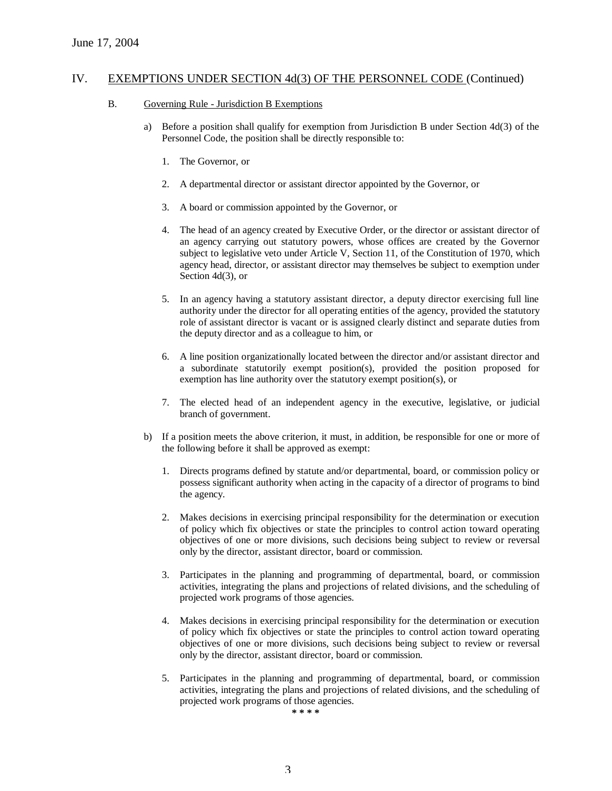#### B. Governing Rule - Jurisdiction B Exemptions

- a) Before a position shall qualify for exemption from Jurisdiction B under Section 4d(3) of the Personnel Code, the position shall be directly responsible to:
	- 1. The Governor, or
	- 2. A departmental director or assistant director appointed by the Governor, or
	- 3. A board or commission appointed by the Governor, or
	- 4. The head of an agency created by Executive Order, or the director or assistant director of an agency carrying out statutory powers, whose offices are created by the Governor subject to legislative veto under Article V, Section 11, of the Constitution of 1970, which agency head, director, or assistant director may themselves be subject to exemption under Section 4d(3), or
	- 5. In an agency having a statutory assistant director, a deputy director exercising full line authority under the director for all operating entities of the agency, provided the statutory role of assistant director is vacant or is assigned clearly distinct and separate duties from the deputy director and as a colleague to him, or
	- 6. A line position organizationally located between the director and/or assistant director and a subordinate statutorily exempt position(s), provided the position proposed for exemption has line authority over the statutory exempt position(s), or
	- 7. The elected head of an independent agency in the executive, legislative, or judicial branch of government.
- b) If a position meets the above criterion, it must, in addition, be responsible for one or more of the following before it shall be approved as exempt:
	- 1. Directs programs defined by statute and/or departmental, board, or commission policy or possess significant authority when acting in the capacity of a director of programs to bind the agency.
	- 2. Makes decisions in exercising principal responsibility for the determination or execution of policy which fix objectives or state the principles to control action toward operating objectives of one or more divisions, such decisions being subject to review or reversal only by the director, assistant director, board or commission.
	- 3. Participates in the planning and programming of departmental, board, or commission activities, integrating the plans and projections of related divisions, and the scheduling of projected work programs of those agencies.
	- 4. Makes decisions in exercising principal responsibility for the determination or execution of policy which fix objectives or state the principles to control action toward operating objectives of one or more divisions, such decisions being subject to review or reversal only by the director, assistant director, board or commission.
	- 5. Participates in the planning and programming of departmental, board, or commission activities, integrating the plans and projections of related divisions, and the scheduling of projected work programs of those agencies.

**\* \* \* \***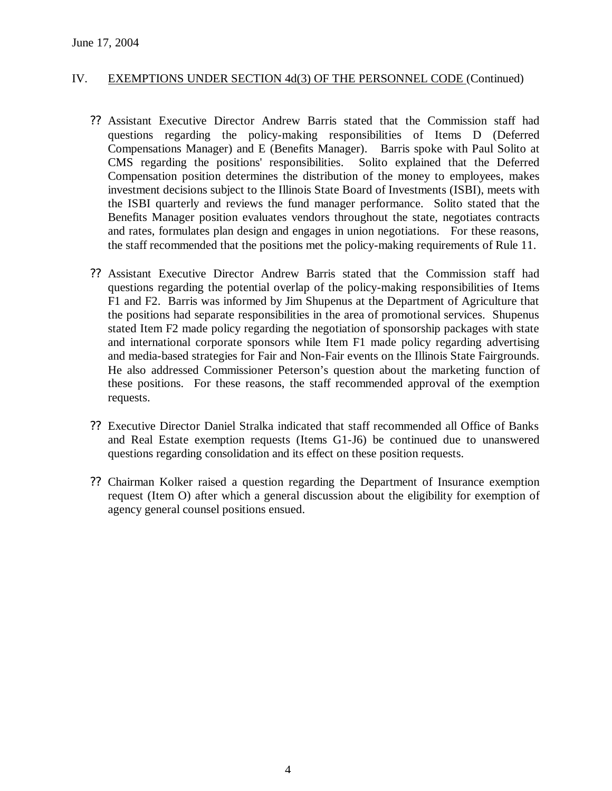- ?? Assistant Executive Director Andrew Barris stated that the Commission staff had questions regarding the policy-making responsibilities of Items D (Deferred Compensations Manager) and E (Benefits Manager). Barris spoke with Paul Solito at CMS regarding the positions' responsibilities. Solito explained that the Deferred Compensation position determines the distribution of the money to employees, makes investment decisions subject to the Illinois State Board of Investments (ISBI), meets with the ISBI quarterly and reviews the fund manager performance. Solito stated that the Benefits Manager position evaluates vendors throughout the state, negotiates contracts and rates, formulates plan design and engages in union negotiations. For these reasons, the staff recommended that the positions met the policy-making requirements of Rule 11.
- ?? Assistant Executive Director Andrew Barris stated that the Commission staff had questions regarding the potential overlap of the policy-making responsibilities of Items F1 and F2. Barris was informed by Jim Shupenus at the Department of Agriculture that the positions had separate responsibilities in the area of promotional services. Shupenus stated Item F2 made policy regarding the negotiation of sponsorship packages with state and international corporate sponsors while Item F1 made policy regarding advertising and media-based strategies for Fair and Non-Fair events on the Illinois State Fairgrounds. He also addressed Commissioner Peterson's question about the marketing function of these positions. For these reasons, the staff recommended approval of the exemption requests.
- ?? Executive Director Daniel Stralka indicated that staff recommended all Office of Banks and Real Estate exemption requests (Items G1-J6) be continued due to unanswered questions regarding consolidation and its effect on these position requests.
- ?? Chairman Kolker raised a question regarding the Department of Insurance exemption request (Item O) after which a general discussion about the eligibility for exemption of agency general counsel positions ensued.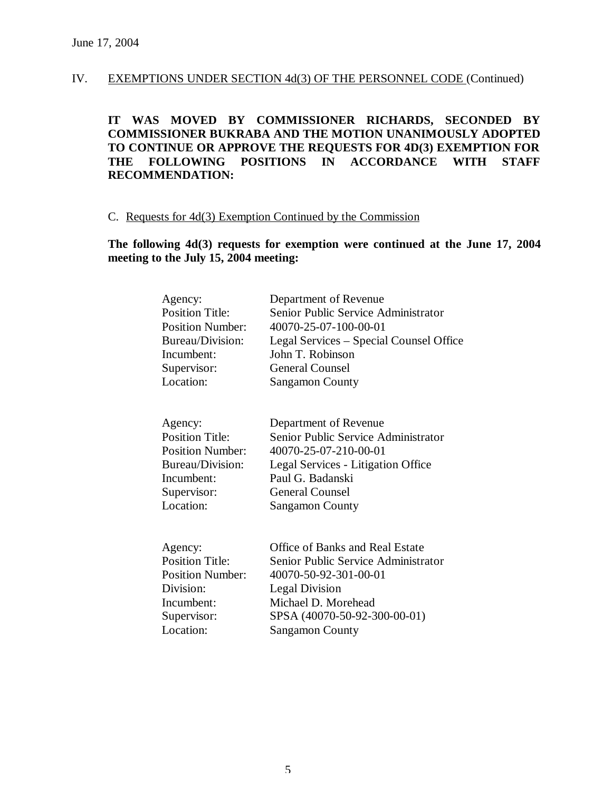**IT WAS MOVED BY COMMISSIONER RICHARDS, SECONDED BY COMMISSIONER BUKRABA AND THE MOTION UNANIMOUSLY ADOPTED TO CONTINUE OR APPROVE THE REQUESTS FOR 4D(3) EXEMPTION FOR THE FOLLOWING POSITIONS IN ACCORDANCE WITH STAFF RECOMMENDATION:**

# C. Requests for 4d(3) Exemption Continued by the Commission

# **The following 4d(3) requests for exemption were continued at the June 17, 2004 meeting to the July 15, 2004 meeting:**

| Agency:                 | Department of Revenue                   |
|-------------------------|-----------------------------------------|
| Position Title:         | Senior Public Service Administrator     |
| <b>Position Number:</b> | 40070-25-07-100-00-01                   |
| Bureau/Division:        | Legal Services – Special Counsel Office |
| Incumbent:              | John T. Robinson                        |
| Supervisor:             | <b>General Counsel</b>                  |
| Location:               | <b>Sangamon County</b>                  |
| Agency:                 | Department of Revenue                   |
| <b>Position Title:</b>  | Senior Public Service Administrator     |
| <b>Position Number:</b> | 40070-25-07-210-00-01                   |
| Bureau/Division:        | Legal Services - Litigation Office      |
| Incumbent:              | Paul G. Badanski                        |
| Supervisor:             | <b>General Counsel</b>                  |
| Location:               | <b>Sangamon County</b>                  |
| Agency:                 | Office of Banks and Real Estate         |
| <b>Position Title:</b>  | Senior Public Service Administrator     |
| <b>Position Number:</b> | 40070-50-92-301-00-01                   |
| Division:               | <b>Legal Division</b>                   |
| Incumbent:              | Michael D. Morehead                     |
| Supervisor:             | SPSA (40070-50-92-300-00-01)            |
| Location:               | <b>Sangamon County</b>                  |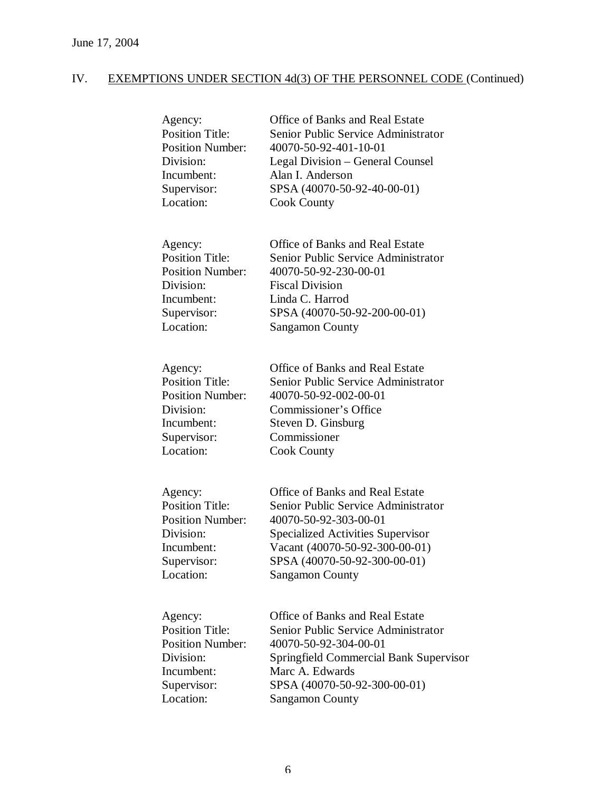| Agency:                 | Office of Banks and Real Estate               |
|-------------------------|-----------------------------------------------|
| <b>Position Title:</b>  | Senior Public Service Administrator           |
| <b>Position Number:</b> | 40070-50-92-401-10-01                         |
| Division:               | Legal Division – General Counsel              |
| Incumbent:              | Alan I. Anderson                              |
| Supervisor:             | SPSA (40070-50-92-40-00-01)                   |
| Location:               | <b>Cook County</b>                            |
| Agency:                 | Office of Banks and Real Estate               |
| <b>Position Title:</b>  | Senior Public Service Administrator           |
| <b>Position Number:</b> | 40070-50-92-230-00-01                         |
| Division:               | <b>Fiscal Division</b>                        |
| Incumbent:              | Linda C. Harrod                               |
| Supervisor:             | SPSA (40070-50-92-200-00-01)                  |
| Location:               | <b>Sangamon County</b>                        |
| Agency:                 | Office of Banks and Real Estate               |
| <b>Position Title:</b>  | Senior Public Service Administrator           |
| <b>Position Number:</b> | 40070-50-92-002-00-01                         |
| Division:               | Commissioner's Office                         |
| Incumbent:              | Steven D. Ginsburg                            |
| Supervisor:             | Commissioner                                  |
| Location:               | <b>Cook County</b>                            |
| Agency:                 | Office of Banks and Real Estate               |
| <b>Position Title:</b>  | Senior Public Service Administrator           |
| <b>Position Number:</b> | 40070-50-92-303-00-01                         |
| Division:               | <b>Specialized Activities Supervisor</b>      |
| Incumbent:              | Vacant (40070-50-92-300-00-01)                |
| Supervisor:             | SPSA (40070-50-92-300-00-01)                  |
| Location:               | <b>Sangamon County</b>                        |
| Agency:                 | Office of Banks and Real Estate               |
| <b>Position Title:</b>  | Senior Public Service Administrator           |
| <b>Position Number:</b> | 40070-50-92-304-00-01                         |
| Division:               | <b>Springfield Commercial Bank Supervisor</b> |
| Incumbent:              | Marc A. Edwards                               |
| Supervisor:             | SPSA (40070-50-92-300-00-01)                  |
| Location:               | <b>Sangamon County</b>                        |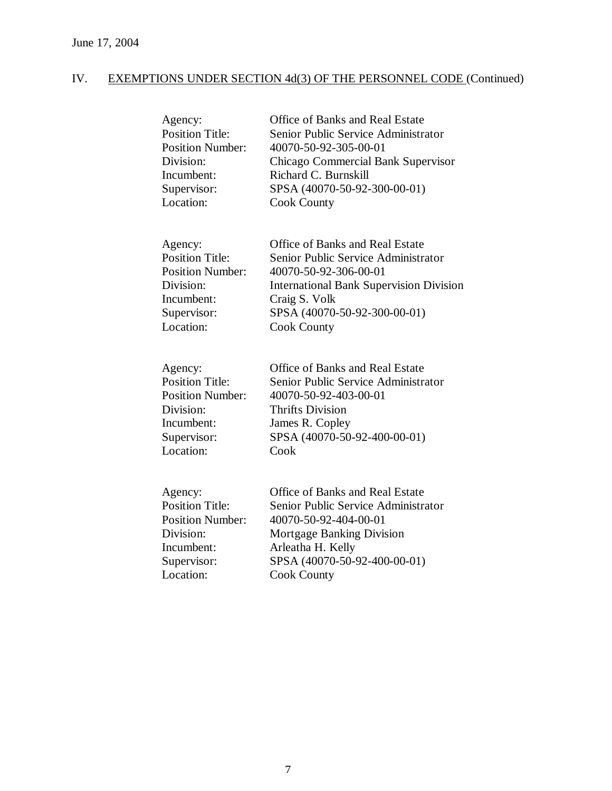| Agency:                 | <b>Office of Banks and Real Estate</b>         |
|-------------------------|------------------------------------------------|
| <b>Position Title:</b>  | Senior Public Service Administrator            |
| <b>Position Number:</b> | 40070-50-92-305-00-01                          |
| Division:               | Chicago Commercial Bank Supervisor             |
| Incumbent:              | Richard C. Burnskill                           |
| Supervisor:             | SPSA (40070-50-92-300-00-01)                   |
| Location:               | <b>Cook County</b>                             |
| Agency:                 | <b>Office of Banks and Real Estate</b>         |
| <b>Position Title:</b>  | Senior Public Service Administrator            |
| <b>Position Number:</b> | 40070-50-92-306-00-01                          |
| Division:               | <b>International Bank Supervision Division</b> |
| Incumbent:              | Craig S. Volk                                  |
| Supervisor:             | SPSA (40070-50-92-300-00-01)                   |
| Location:               | <b>Cook County</b>                             |
| Agency:                 | <b>Office of Banks and Real Estate</b>         |
| <b>Position Title:</b>  | Senior Public Service Administrator            |
| <b>Position Number:</b> | 40070-50-92-403-00-01                          |
| Division:               | <b>Thrifts Division</b>                        |
| Incumbent:              | James R. Copley                                |
| Supervisor:             | SPSA (40070-50-92-400-00-01)                   |
| Location:               | Cook                                           |
| Agency:                 | <b>Office of Banks and Real Estate</b>         |
| <b>Position Title:</b>  | Senior Public Service Administrator            |
| <b>Position Number:</b> | 40070-50-92-404-00-01                          |
| Division:               | Mortgage Banking Division                      |
| Incumbent:              | Arleatha H. Kelly                              |
| Supervisor:             | SPSA (40070-50-92-400-00-01)                   |
| Location:               | <b>Cook County</b>                             |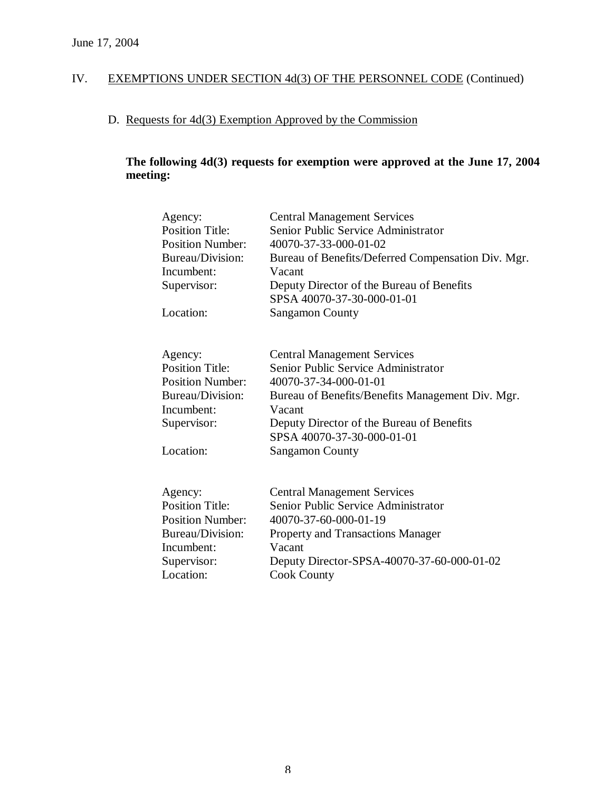# D. Requests for 4d(3) Exemption Approved by the Commission

# **The following 4d(3) requests for exemption were approved at the June 17, 2004 meeting:**

| Agency:<br><b>Position Title:</b><br><b>Position Number:</b><br>Bureau/Division:<br>Incumbent:<br>Supervisor:<br>Location: | <b>Central Management Services</b><br>Senior Public Service Administrator<br>40070-37-33-000-01-02<br>Bureau of Benefits/Deferred Compensation Div. Mgr.<br>Vacant<br>Deputy Director of the Bureau of Benefits<br>SPSA 40070-37-30-000-01-01<br><b>Sangamon County</b> |
|----------------------------------------------------------------------------------------------------------------------------|-------------------------------------------------------------------------------------------------------------------------------------------------------------------------------------------------------------------------------------------------------------------------|
| Agency:                                                                                                                    | <b>Central Management Services</b>                                                                                                                                                                                                                                      |
| <b>Position Title:</b>                                                                                                     | Senior Public Service Administrator                                                                                                                                                                                                                                     |
| <b>Position Number:</b>                                                                                                    | 40070-37-34-000-01-01                                                                                                                                                                                                                                                   |
| Bureau/Division:                                                                                                           | Bureau of Benefits/Benefits Management Div. Mgr.                                                                                                                                                                                                                        |
| Incumbent:                                                                                                                 | Vacant                                                                                                                                                                                                                                                                  |
| Supervisor:                                                                                                                | Deputy Director of the Bureau of Benefits                                                                                                                                                                                                                               |
| Location:                                                                                                                  | SPSA 40070-37-30-000-01-01<br><b>Sangamon County</b>                                                                                                                                                                                                                    |
| Agency:                                                                                                                    | <b>Central Management Services</b>                                                                                                                                                                                                                                      |
| <b>Position Title:</b>                                                                                                     | Senior Public Service Administrator                                                                                                                                                                                                                                     |
| <b>Position Number:</b>                                                                                                    | 40070-37-60-000-01-19                                                                                                                                                                                                                                                   |
| Bureau/Division:                                                                                                           | Property and Transactions Manager                                                                                                                                                                                                                                       |
| Incumbent:                                                                                                                 | Vacant                                                                                                                                                                                                                                                                  |
| Supervisor:                                                                                                                | Deputy Director-SPSA-40070-37-60-000-01-02                                                                                                                                                                                                                              |
| Location:                                                                                                                  | <b>Cook County</b>                                                                                                                                                                                                                                                      |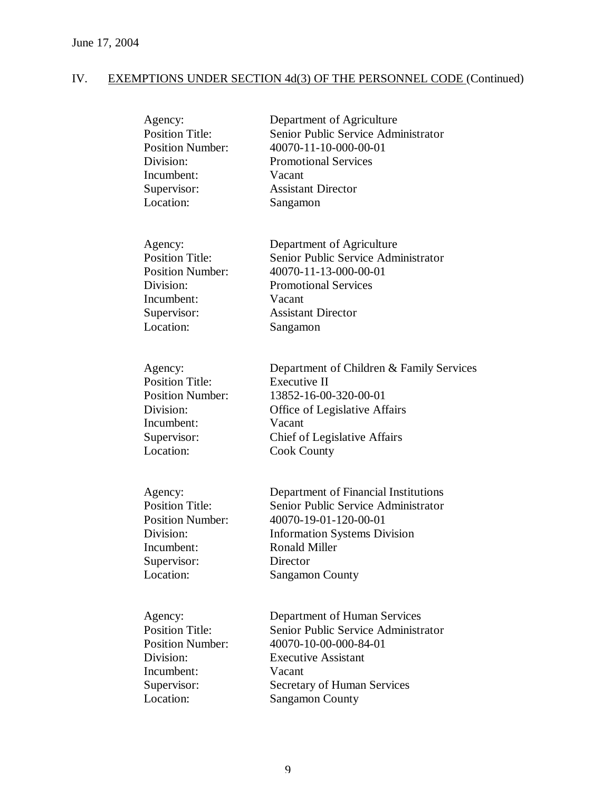| Agency:                 | Department of Agriculture                |
|-------------------------|------------------------------------------|
| <b>Position Title:</b>  | Senior Public Service Administrator      |
| <b>Position Number:</b> | 40070-11-10-000-00-01                    |
| Division:               | <b>Promotional Services</b>              |
| Incumbent:              | Vacant                                   |
| Supervisor:             | <b>Assistant Director</b>                |
| Location:               | Sangamon                                 |
| Agency:                 | Department of Agriculture                |
| <b>Position Title:</b>  | Senior Public Service Administrator      |
| <b>Position Number:</b> | 40070-11-13-000-00-01                    |
| Division:               | <b>Promotional Services</b>              |
| Incumbent:              | Vacant                                   |
| Supervisor:             | <b>Assistant Director</b>                |
| Location:               | Sangamon                                 |
| Agency:                 | Department of Children & Family Services |
| <b>Position Title:</b>  | <b>Executive II</b>                      |
| <b>Position Number:</b> | 13852-16-00-320-00-01                    |
| Division:               | Office of Legislative Affairs            |
| Incumbent:              | Vacant                                   |
| Supervisor:             | Chief of Legislative Affairs             |
| Location:               | <b>Cook County</b>                       |
| Agency:                 | Department of Financial Institutions     |
| <b>Position Title:</b>  | Senior Public Service Administrator      |
| <b>Position Number:</b> | 40070-19-01-120-00-01                    |
| Division:               | <b>Information Systems Division</b>      |
| Incumbent:              | <b>Ronald Miller</b>                     |
| Supervisor:             | Director                                 |
| Location:               | <b>Sangamon County</b>                   |
| Agency:                 | Department of Human Services             |
| <b>Position Title:</b>  | Senior Public Service Administrator      |
| <b>Position Number:</b> | 40070-10-00-000-84-01                    |
| Division:               | <b>Executive Assistant</b>               |
| Incumbent:              | Vacant                                   |
| Supervisor:             | <b>Secretary of Human Services</b>       |
| Location:               | <b>Sangamon County</b>                   |

Sangamon County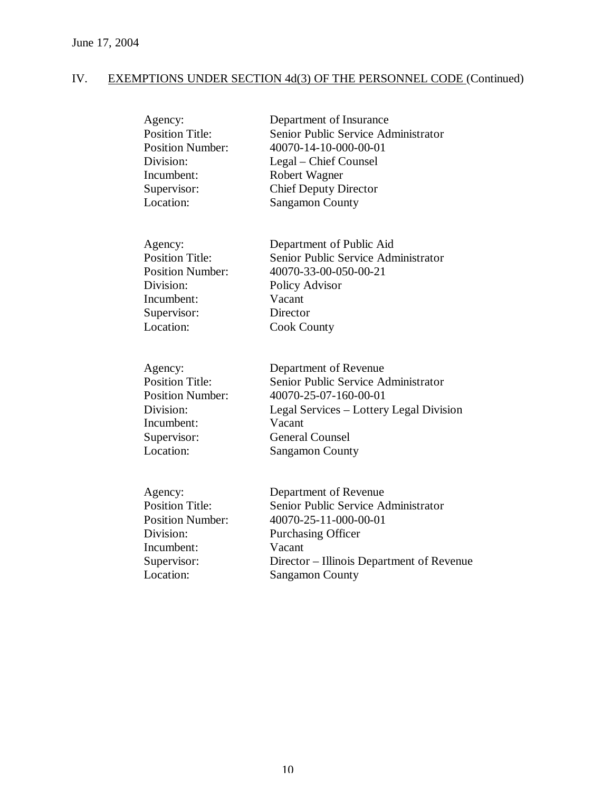| Agency:                 | Department of Insurance                   |
|-------------------------|-------------------------------------------|
| <b>Position Title:</b>  | Senior Public Service Administrator       |
| <b>Position Number:</b> | 40070-14-10-000-00-01                     |
| Division:               | Legal – Chief Counsel                     |
| Incumbent:              | Robert Wagner                             |
| Supervisor:             | <b>Chief Deputy Director</b>              |
| Location:               | <b>Sangamon County</b>                    |
| Agency:                 | Department of Public Aid                  |
| <b>Position Title:</b>  | Senior Public Service Administrator       |
| <b>Position Number:</b> | 40070-33-00-050-00-21                     |
| Division:               | Policy Advisor                            |
| Incumbent:              | Vacant                                    |
| Supervisor:             | Director                                  |
| Location:               | <b>Cook County</b>                        |
| Agency:                 | Department of Revenue                     |
| <b>Position Title:</b>  | Senior Public Service Administrator       |
| <b>Position Number:</b> | 40070-25-07-160-00-01                     |
| Division:               | Legal Services – Lottery Legal Division   |
| Incumbent:              | Vacant                                    |
| Supervisor:             | <b>General Counsel</b>                    |
| Location:               | <b>Sangamon County</b>                    |
| Agency:                 | Department of Revenue                     |
| <b>Position Title:</b>  | Senior Public Service Administrator       |
| <b>Position Number:</b> | 40070-25-11-000-00-01                     |
| Division:               | <b>Purchasing Officer</b>                 |
| Incumbent:              | Vacant                                    |
| Supervisor:             | Director – Illinois Department of Revenue |
| Location:               | <b>Sangamon County</b>                    |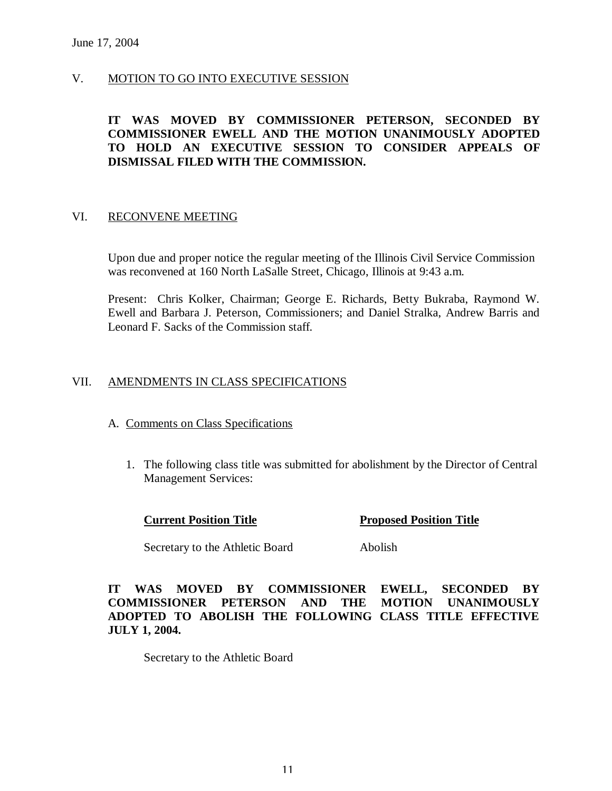# V. MOTION TO GO INTO EXECUTIVE SESSION

# **IT WAS MOVED BY COMMISSIONER PETERSON, SECONDED BY COMMISSIONER EWELL AND THE MOTION UNANIMOUSLY ADOPTED TO HOLD AN EXECUTIVE SESSION TO CONSIDER APPEALS OF DISMISSAL FILED WITH THE COMMISSION.**

#### VI. RECONVENE MEETING

Upon due and proper notice the regular meeting of the Illinois Civil Service Commission was reconvened at 160 North LaSalle Street, Chicago, Illinois at 9:43 a.m.

Present: Chris Kolker, Chairman; George E. Richards, Betty Bukraba, Raymond W. Ewell and Barbara J. Peterson, Commissioners; and Daniel Stralka, Andrew Barris and Leonard F. Sacks of the Commission staff.

# VII. AMENDMENTS IN CLASS SPECIFICATIONS

#### A. Comments on Class Specifications

1. The following class title was submitted for abolishment by the Director of Central Management Services:

**Current Position Title 19. Proposed Position Title** 

Secretary to the Athletic Board Abolish

**IT WAS MOVED BY COMMISSIONER EWELL, SECONDED BY COMMISSIONER PETERSON AND THE MOTION UNANIMOUSLY ADOPTED TO ABOLISH THE FOLLOWING CLASS TITLE EFFECTIVE JULY 1, 2004.**

Secretary to the Athletic Board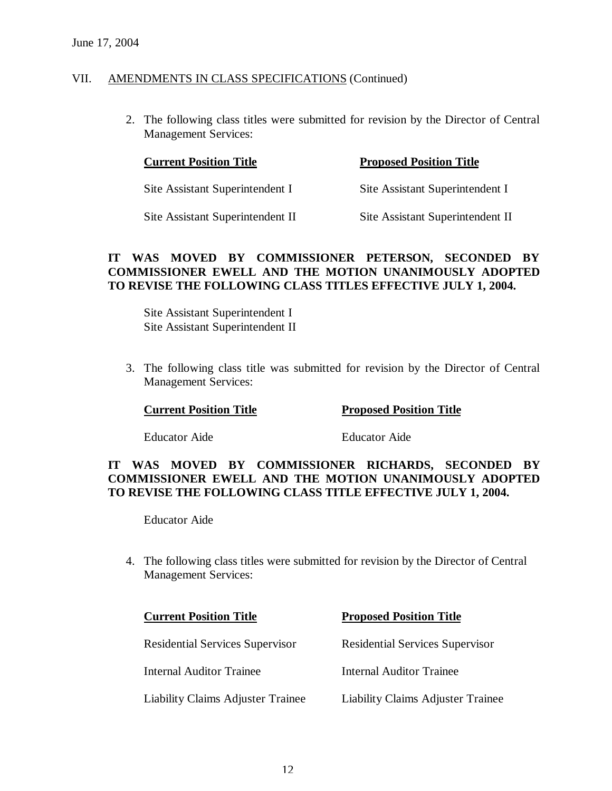2. The following class titles were submitted for revision by the Director of Central Management Services:

| <b>Current Position Title</b>    | <b>Proposed Position Title</b>   |  |
|----------------------------------|----------------------------------|--|
| Site Assistant Superintendent I  | Site Assistant Superintendent I  |  |
| Site Assistant Superintendent II | Site Assistant Superintendent II |  |

## **IT WAS MOVED BY COMMISSIONER PETERSON, SECONDED BY COMMISSIONER EWELL AND THE MOTION UNANIMOUSLY ADOPTED TO REVISE THE FOLLOWING CLASS TITLES EFFECTIVE JULY 1, 2004.**

Site Assistant Superintendent I Site Assistant Superintendent II

3. The following class title was submitted for revision by the Director of Central Management Services:

**Current Position Title 19 Proposed Position Title** 

Educator Aide Educator Aide

# **IT WAS MOVED BY COMMISSIONER RICHARDS, SECONDED BY COMMISSIONER EWELL AND THE MOTION UNANIMOUSLY ADOPTED TO REVISE THE FOLLOWING CLASS TITLE EFFECTIVE JULY 1, 2004.**

Educator Aide

4. The following class titles were submitted for revision by the Director of Central Management Services:

| <b>Current Position Title</b>          | <b>Proposed Position Title</b>         |
|----------------------------------------|----------------------------------------|
| <b>Residential Services Supervisor</b> | <b>Residential Services Supervisor</b> |
| <b>Internal Auditor Trainee</b>        | <b>Internal Auditor Trainee</b>        |
| Liability Claims Adjuster Trainee      | Liability Claims Adjuster Trainee      |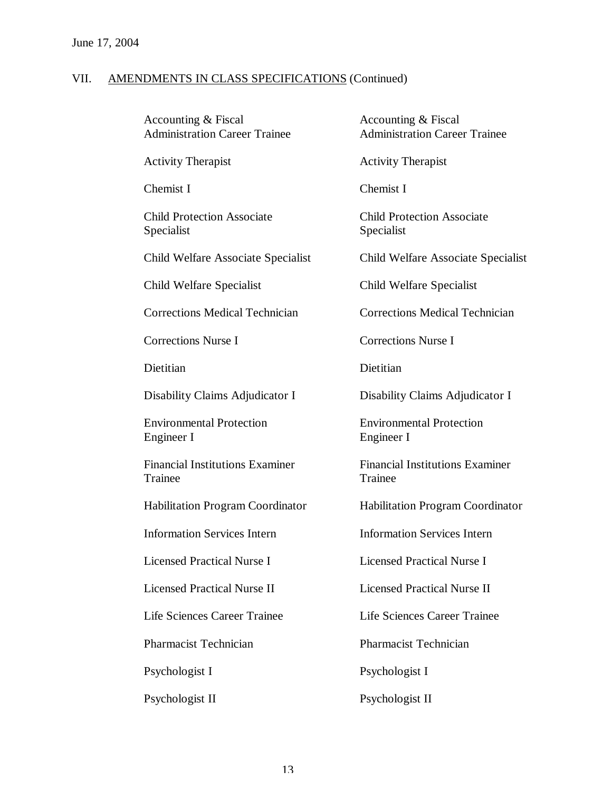| Accounting & Fiscal<br><b>Administration Career Trainee</b> | Accounting & Fiscal<br><b>Administration Career Trainee</b> |
|-------------------------------------------------------------|-------------------------------------------------------------|
| <b>Activity Therapist</b>                                   | <b>Activity Therapist</b>                                   |
| Chemist I                                                   | Chemist I                                                   |
| <b>Child Protection Associate</b><br>Specialist             | <b>Child Protection Associate</b><br>Specialist             |
| Child Welfare Associate Specialist                          | Child Welfare Associate Specialist                          |
| Child Welfare Specialist                                    | Child Welfare Specialist                                    |
| <b>Corrections Medical Technician</b>                       | <b>Corrections Medical Technician</b>                       |
| <b>Corrections Nurse I</b>                                  | <b>Corrections Nurse I</b>                                  |
| Dietitian                                                   | Dietitian                                                   |
| Disability Claims Adjudicator I                             | Disability Claims Adjudicator I                             |
| <b>Environmental Protection</b><br>Engineer I               | <b>Environmental Protection</b><br>Engineer I               |
| <b>Financial Institutions Examiner</b><br>Trainee           | <b>Financial Institutions Examiner</b><br>Trainee           |
| <b>Habilitation Program Coordinator</b>                     | <b>Habilitation Program Coordinator</b>                     |
| <b>Information Services Intern</b>                          | <b>Information Services Intern</b>                          |
| <b>Licensed Practical Nurse I</b>                           | <b>Licensed Practical Nurse I</b>                           |
| <b>Licensed Practical Nurse II</b>                          | <b>Licensed Practical Nurse II</b>                          |
| Life Sciences Career Trainee                                | Life Sciences Career Trainee                                |
| <b>Pharmacist Technician</b>                                | <b>Pharmacist Technician</b>                                |
| Psychologist I                                              | Psychologist I                                              |
| Psychologist II                                             | Psychologist II                                             |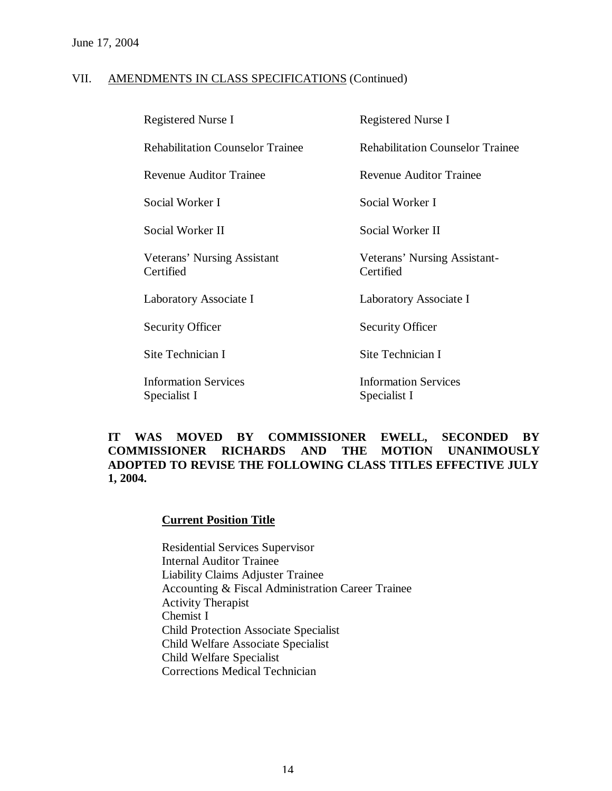| <b>Registered Nurse I</b>                   | <b>Registered Nurse I</b>                   |
|---------------------------------------------|---------------------------------------------|
| <b>Rehabilitation Counselor Trainee</b>     | <b>Rehabilitation Counselor Trainee</b>     |
| <b>Revenue Auditor Trainee</b>              | <b>Revenue Auditor Trainee</b>              |
| Social Worker I                             | Social Worker I                             |
| Social Worker II                            | Social Worker II                            |
| Veterans' Nursing Assistant<br>Certified    | Veterans' Nursing Assistant-<br>Certified   |
| Laboratory Associate I                      | Laboratory Associate I                      |
| <b>Security Officer</b>                     | <b>Security Officer</b>                     |
| Site Technician I                           | Site Technician I                           |
| <b>Information Services</b><br>Specialist I | <b>Information Services</b><br>Specialist I |

# **IT WAS MOVED BY COMMISSIONER EWELL, SECONDED BY COMMISSIONER RICHARDS AND THE MOTION UNANIMOUSLY ADOPTED TO REVISE THE FOLLOWING CLASS TITLES EFFECTIVE JULY 1, 2004.**

#### **Current Position Title**

Residential Services Supervisor Internal Auditor Trainee Liability Claims Adjuster Trainee Accounting & Fiscal Administration Career Trainee Activity Therapist Chemist I Child Protection Associate Specialist Child Welfare Associate Specialist Child Welfare Specialist Corrections Medical Technician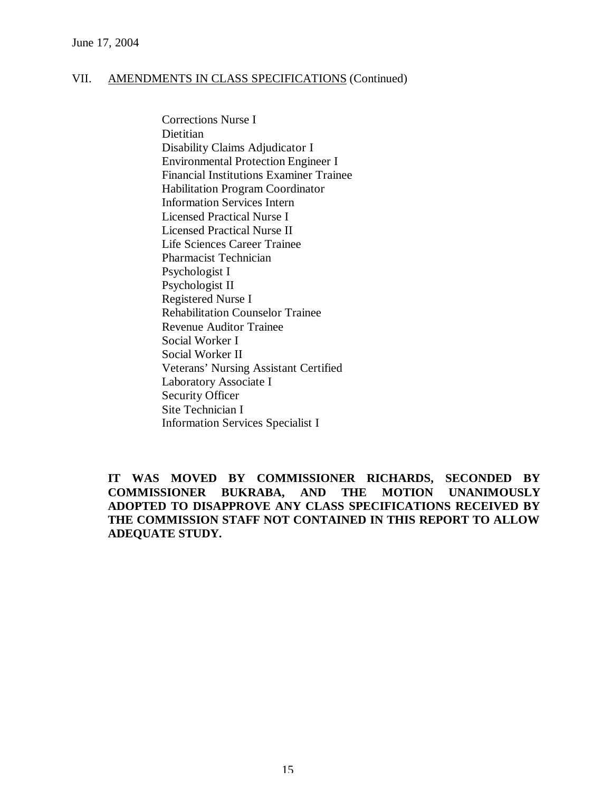Corrections Nurse I **Dietitian** Disability Claims Adjudicator I Environmental Protection Engineer I Financial Institutions Examiner Trainee Habilitation Program Coordinator Information Services Intern Licensed Practical Nurse I Licensed Practical Nurse II Life Sciences Career Trainee Pharmacist Technician Psychologist I Psychologist II Registered Nurse I Rehabilitation Counselor Trainee Revenue Auditor Trainee Social Worker I Social Worker II Veterans' Nursing Assistant Certified Laboratory Associate I Security Officer Site Technician I Information Services Specialist I

**IT WAS MOVED BY COMMISSIONER RICHARDS, SECONDED BY COMMISSIONER BUKRABA, AND THE MOTION UNANIMOUSLY ADOPTED TO DISAPPROVE ANY CLASS SPECIFICATIONS RECEIVED BY THE COMMISSION STAFF NOT CONTAINED IN THIS REPORT TO ALLOW ADEQUATE STUDY.**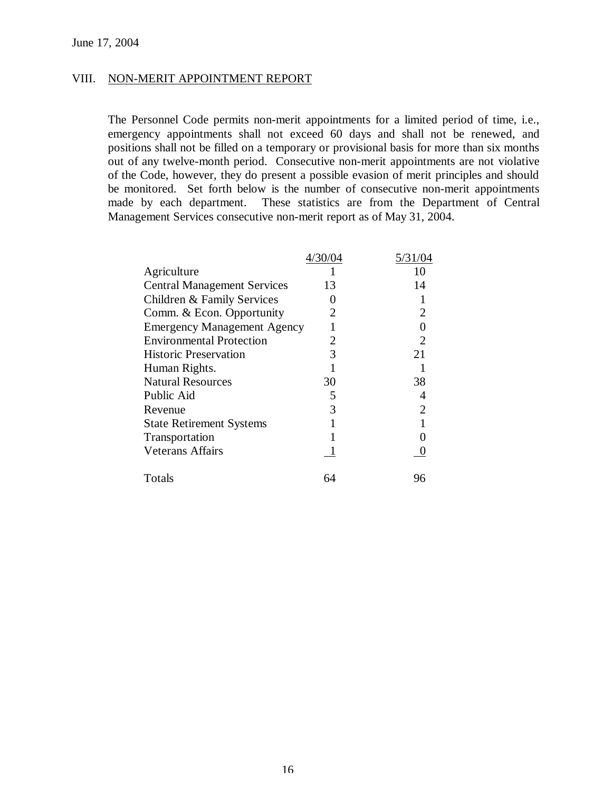#### VIII. NON-MERIT APPOINTMENT REPORT

The Personnel Code permits non-merit appointments for a limited period of time, i.e., emergency appointments shall not exceed 60 days and shall not be renewed, and positions shall not be filled on a temporary or provisional basis for more than six months out of any twelve-month period. Consecutive non-merit appointments are not violative of the Code, however, they do present a possible evasion of merit principles and should be monitored. Set forth below is the number of consecutive non-merit appointments made by each department. These statistics are from the Department of Central Management Services consecutive non-merit report as of May 31, 2004.

|                                    | 4/30/04 | 5/31/04 |
|------------------------------------|---------|---------|
| Agriculture                        |         | 10      |
| <b>Central Management Services</b> | 13      | 14      |
| Children & Family Services         |         |         |
| Comm. & Econ. Opportunity          | 2       |         |
| <b>Emergency Management Agency</b> |         |         |
| <b>Environmental Protection</b>    | 2       | 2       |
| <b>Historic Preservation</b>       | 3       | 21      |
| Human Rights.                      |         |         |
| <b>Natural Resources</b>           | 30      | 38      |
| Public Aid                         | 5       |         |
| Revenue                            | 3       |         |
| <b>State Retirement Systems</b>    |         |         |
| Transportation                     |         |         |
| <b>Veterans Affairs</b>            |         |         |
| Totals                             | 64      | 96      |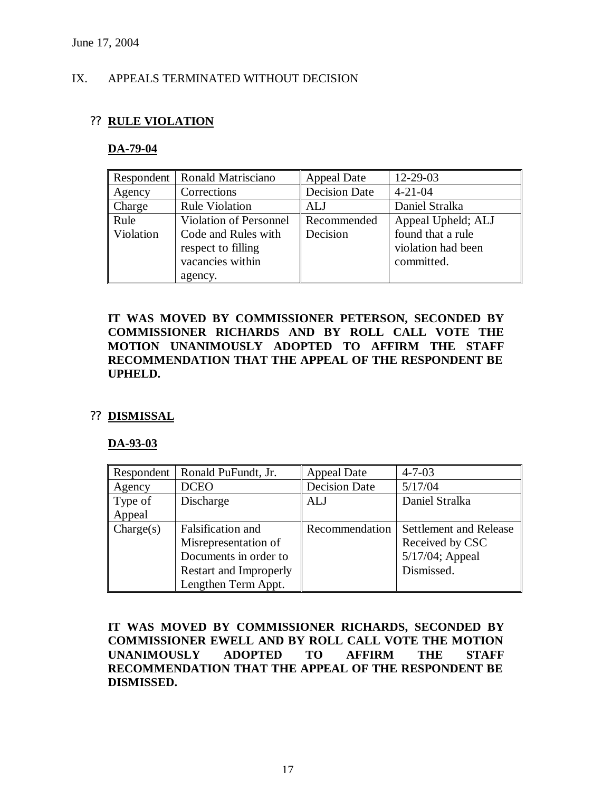# IX. APPEALS TERMINATED WITHOUT DECISION

# ?? **RULE VIOLATION**

#### **DA-79-04**

| Respondent | <b>Ronald Matrisciano</b>     | <b>Appeal Date</b>   | 12-29-03           |
|------------|-------------------------------|----------------------|--------------------|
| Agency     | Corrections                   | <b>Decision Date</b> | $4 - 21 - 04$      |
| Charge     | <b>Rule Violation</b>         | ALJ                  | Daniel Stralka     |
| Rule       | <b>Violation of Personnel</b> | Recommended          | Appeal Upheld; ALJ |
| Violation  | Code and Rules with           | Decision             | found that a rule  |
|            | respect to filling            |                      | violation had been |
|            | vacancies within              |                      | committed.         |
|            | agency.                       |                      |                    |

**IT WAS MOVED BY COMMISSIONER PETERSON, SECONDED BY COMMISSIONER RICHARDS AND BY ROLL CALL VOTE THE MOTION UNANIMOUSLY ADOPTED TO AFFIRM THE STAFF RECOMMENDATION THAT THE APPEAL OF THE RESPONDENT BE UPHELD.** 

#### ?? **DISMISSAL**

#### **DA-93-03**

| Respondent | Ronald PuFundt, Jr.    | <b>Appeal Date</b>   | $4 - 7 - 03$           |
|------------|------------------------|----------------------|------------------------|
| Agency     | <b>DCEO</b>            | <b>Decision Date</b> | 5/17/04                |
| Type of    | Discharge              | <b>ALJ</b>           | Daniel Stralka         |
| Appeal     |                        |                      |                        |
| Change(s)  | Falsification and      | Recommendation       | Settlement and Release |
|            | Misrepresentation of   |                      | Received by CSC        |
|            | Documents in order to  |                      | 5/17/04; Appeal        |
|            | Restart and Improperly |                      | Dismissed.             |
|            | Lengthen Term Appt.    |                      |                        |

**IT WAS MOVED BY COMMISSIONER RICHARDS, SECONDED BY COMMISSIONER EWELL AND BY ROLL CALL VOTE THE MOTION UNANIMOUSLY ADOPTED TO AFFIRM THE STAFF RECOMMENDATION THAT THE APPEAL OF THE RESPONDENT BE DISMISSED.**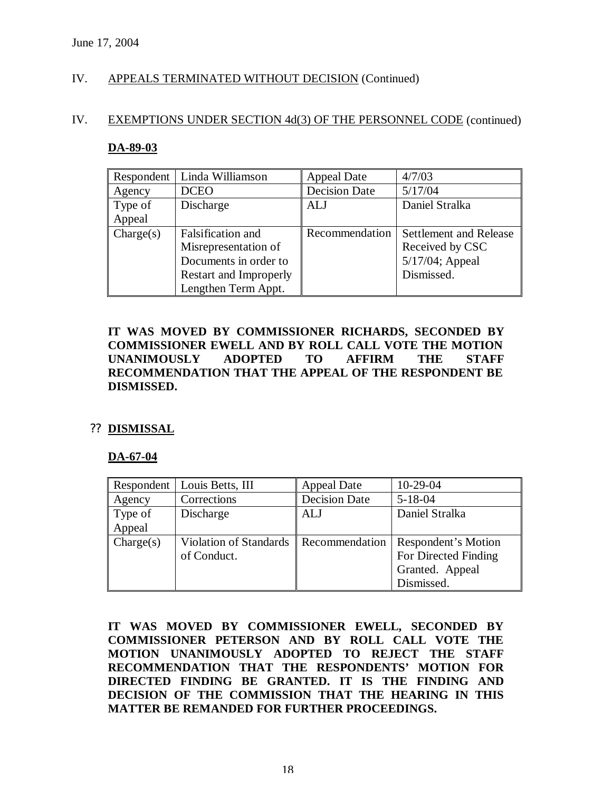# IV. APPEALS TERMINATED WITHOUT DECISION (Continued)

#### IV. EXEMPTIONS UNDER SECTION 4d(3) OF THE PERSONNEL CODE (continued)

#### **DA-89-03**

| Respondent | Linda Williamson       | <b>Appeal Date</b>   | 4/7/03                        |
|------------|------------------------|----------------------|-------------------------------|
| Agency     | <b>DCEO</b>            | <b>Decision Date</b> | 5/17/04                       |
| Type of    | Discharge              | <b>ALJ</b>           | Daniel Stralka                |
| Appeal     |                        |                      |                               |
| Change(s)  | Falsification and      | Recommendation       | <b>Settlement and Release</b> |
|            | Misrepresentation of   |                      | Received by CSC               |
|            | Documents in order to  |                      | 5/17/04; Appeal               |
|            | Restart and Improperly |                      | Dismissed.                    |
|            | Lengthen Term Appt.    |                      |                               |

# **IT WAS MOVED BY COMMISSIONER RICHARDS, SECONDED BY COMMISSIONER EWELL AND BY ROLL CALL VOTE THE MOTION UNANIMOUSLY ADOPTED TO AFFIRM THE STAFF RECOMMENDATION THAT THE APPEAL OF THE RESPONDENT BE DISMISSED.**

#### ?? **DISMISSAL**

#### **DA-67-04**

| Respondent | Louis Betts, III       | <b>Appeal Date</b>   | $10-29-04$           |
|------------|------------------------|----------------------|----------------------|
| Agency     | Corrections            | <b>Decision Date</b> | $5 - 18 - 04$        |
| Type of    | Discharge              | <b>ALJ</b>           | Daniel Stralka       |
| Appeal     |                        |                      |                      |
| Change(s)  | Violation of Standards | Recommendation       | Respondent's Motion  |
|            | of Conduct.            |                      | For Directed Finding |
|            |                        |                      | Granted. Appeal      |
|            |                        |                      | Dismissed.           |

**IT WAS MOVED BY COMMISSIONER EWELL, SECONDED BY COMMISSIONER PETERSON AND BY ROLL CALL VOTE THE MOTION UNANIMOUSLY ADOPTED TO REJECT THE STAFF RECOMMENDATION THAT THE RESPONDENTS' MOTION FOR DIRECTED FINDING BE GRANTED. IT IS THE FINDING AND DECISION OF THE COMMISSION THAT THE HEARING IN THIS MATTER BE REMANDED FOR FURTHER PROCEEDINGS.**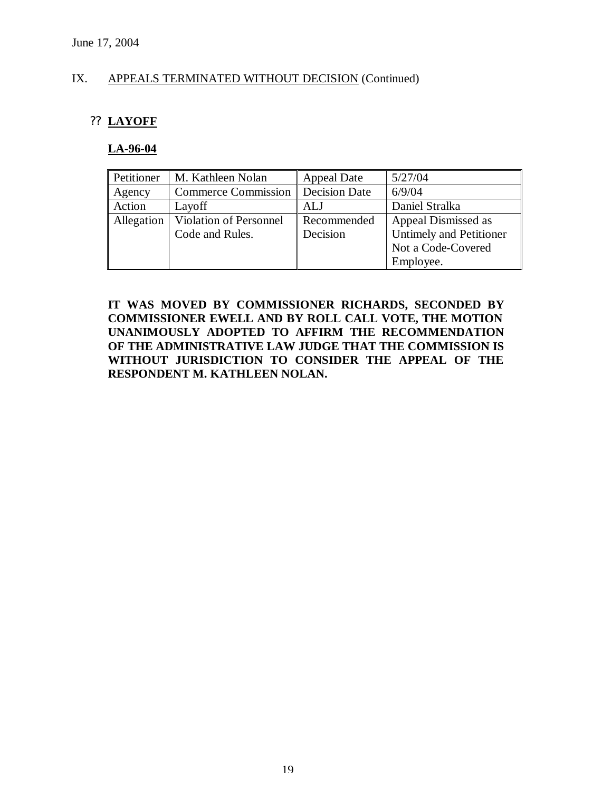# IX. APPEALS TERMINATED WITHOUT DECISION (Continued)

# ?? **LAYOFF**

#### **LA-96-04**

| Petitioner | M. Kathleen Nolan          | <b>Appeal Date</b> | 5/27/04                        |
|------------|----------------------------|--------------------|--------------------------------|
| Agency     | <b>Commerce Commission</b> | Decision Date      | 6/9/04                         |
| Action     | Layoff                     | ALJ                | Daniel Stralka                 |
| Allegation | Violation of Personnel     | Recommended        | Appeal Dismissed as            |
|            | Code and Rules.            | Decision           | <b>Untimely and Petitioner</b> |
|            |                            |                    | Not a Code-Covered             |
|            |                            |                    | Employee.                      |

**IT WAS MOVED BY COMMISSIONER RICHARDS, SECONDED BY COMMISSIONER EWELL AND BY ROLL CALL VOTE, THE MOTION UNANIMOUSLY ADOPTED TO AFFIRM THE RECOMMENDATION OF THE ADMINISTRATIVE LAW JUDGE THAT THE COMMISSION IS WITHOUT JURISDICTION TO CONSIDER THE APPEAL OF THE RESPONDENT M. KATHLEEN NOLAN.**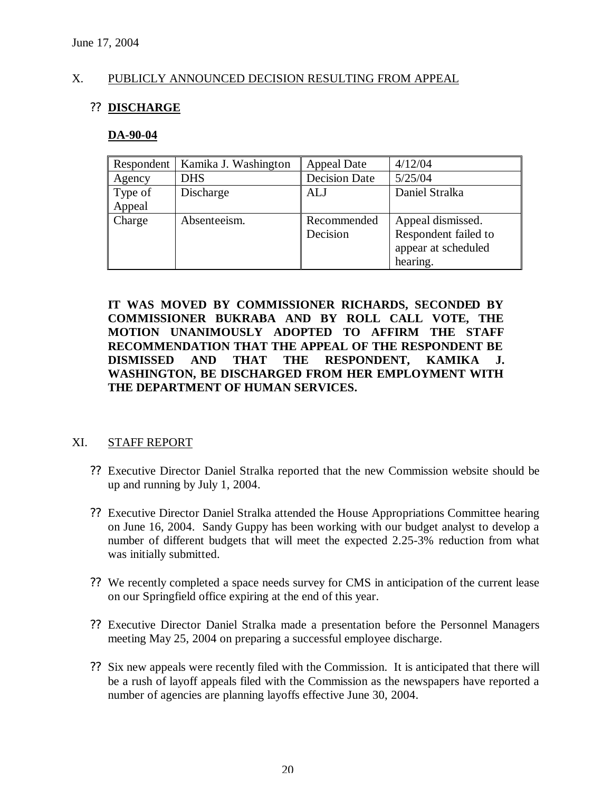#### X. PUBLICLY ANNOUNCED DECISION RESULTING FROM APPEAL

# ?? **DISCHARGE**

#### **DA-90-04**

| Respondent | Kamika J. Washington | <b>Appeal Date</b>   | 4/12/04              |
|------------|----------------------|----------------------|----------------------|
| Agency     | <b>DHS</b>           | <b>Decision Date</b> | 5/25/04              |
| Type of    | Discharge            | ALJ                  | Daniel Stralka       |
| Appeal     |                      |                      |                      |
| Charge     | Absenteeism.         | Recommended          | Appeal dismissed.    |
|            |                      | Decision             | Respondent failed to |
|            |                      |                      | appear at scheduled  |
|            |                      |                      | hearing.             |

**IT WAS MOVED BY COMMISSIONER RICHARDS, SECONDED BY COMMISSIONER BUKRABA AND BY ROLL CALL VOTE, THE MOTION UNANIMOUSLY ADOPTED TO AFFIRM THE STAFF RECOMMENDATION THAT THE APPEAL OF THE RESPONDENT BE DISMISSED AND THAT THE RESPONDENT, KAMIKA J. WASHINGTON, BE DISCHARGED FROM HER EMPLOYMENT WITH THE DEPARTMENT OF HUMAN SERVICES.**

#### XI. STAFF REPORT

- ?? Executive Director Daniel Stralka reported that the new Commission website should be up and running by July 1, 2004.
- ?? Executive Director Daniel Stralka attended the House Appropriations Committee hearing on June 16, 2004. Sandy Guppy has been working with our budget analyst to develop a number of different budgets that will meet the expected 2.25-3% reduction from what was initially submitted.
- ?? We recently completed a space needs survey for CMS in anticipation of the current lease on our Springfield office expiring at the end of this year.
- ?? Executive Director Daniel Stralka made a presentation before the Personnel Managers meeting May 25, 2004 on preparing a successful employee discharge.
- ?? Six new appeals were recently filed with the Commission. It is anticipated that there will be a rush of layoff appeals filed with the Commission as the newspapers have reported a number of agencies are planning layoffs effective June 30, 2004.